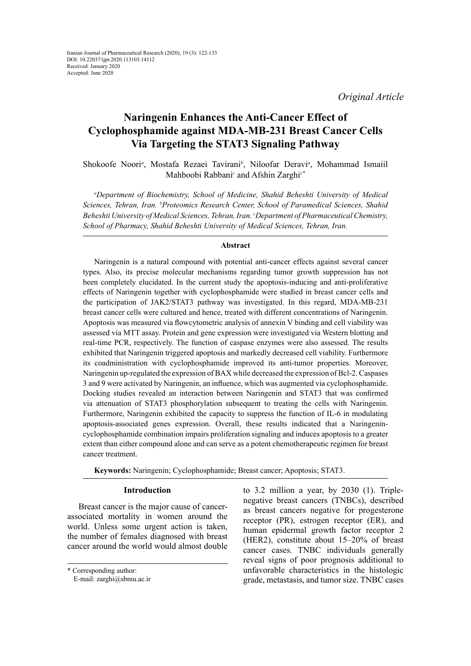*Original Article*

# **Naringenin Enhances the Anti-Cancer Effect of Cyclophosphamide against MDA-MB-231 Breast Cancer Cells Via Targeting the STAT3 Signaling Pathway**

Shokoofe Noori<sup>a</sup>, Mostafa Rezaei Tavirani<sup>b</sup>, Niloofar Deravi<sup>a</sup>, Mohammad Ismaiil Mahboobi Rabbani<sup>c</sup> and Afshin Zarghi<sup>c\*</sup>

*a Department of Biochemistry, School of Medicine, Shahid Beheshti University of Medical Sciences, Tehran, Iran. b Proteomics Research Center, School of Paramedical Sciences, Shahid Beheshti University of Medical Sciences, Tehran, Iran. c Department of Pharmaceutical Chemistry, School of Pharmacy, Shahid Beheshti University of Medical Sciences, Tehran, Iran.*

## **Abstract**

Naringenin is a natural compound with potential anti-cancer effects against several cancer types. Also, its precise molecular mechanisms regarding tumor growth suppression has not been completely elucidated. In the current study the apoptosis-inducing and anti-proliferative effects of Naringenin together with cyclophosphamide were studied in breast cancer cells and the participation of JAK2/STAT3 pathway was investigated. In this regard, MDA-MB-231 breast cancer cells were cultured and hence, treated with different concentrations of Naringenin. Apoptosis was measured via flowcytometric analysis of annexin V binding and cell viability was assessed via MTT assay. Protein and gene expression were investigated via Western blotting and real-time PCR, respectively. The function of caspase enzymes were also assessed. The results exhibited that Naringenin triggered apoptosis and markedly decreased cell viability. Furthermore its coadministration with cyclophosphamide improved its anti-tumor properties. Moreover, Naringenin up-regulated the expression of BAX while decreased the expression of Bcl-2. Caspases 3 and 9 were activated by Naringenin, an influence, which was augmented via cyclophosphamide. Docking studies revealed an interaction between Naringenin and STAT3 that was confirmed via attenuation of STAT3 phosphorylation subsequent to treating the cells with Naringenin. Furthermore, Naringenin exhibited the capacity to suppress the function of IL-6 in modulating apoptosis-associated genes expression. Overall, these results indicated that a Naringenincyclophosphamide combination impairs proliferation signaling and induces apoptosis to a greater extent than either compound alone and can serve as a potent chemotherapeutic regimen for breast cancer treatment.

**Keywords:** Naringenin; Cyclophosphamide; Breast cancer; Apoptosis; STAT3.

## **Introduction**

Breast cancer is the major cause of cancerassociated mortality in women around the world. Unless some urgent action is taken, the number of females diagnosed with breast cancer around the world would almost double

\* Corresponding author:

to 3.2 million a year, by 2030 (1). Triplenegative breast cancers (TNBCs), described as breast cancers negative for progesterone receptor (PR), estrogen receptor (ER), and human epidermal growth factor receptor 2 (HER2), constitute about 15–20% of breast cancer cases. TNBC individuals generally reveal signs of poor prognosis additional to unfavorable characteristics in the histologic grade, metastasis, and tumor size. TNBC cases

E-mail: zarghi@sbmu.ac.ir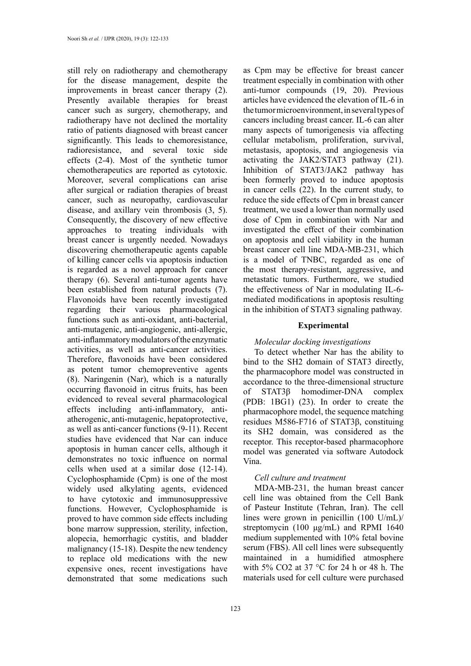still rely on radiotherapy and chemotherapy for the disease management, despite the improvements in breast cancer therapy (2). Presently available therapies for breast cancer such as surgery, chemotherapy, and radiotherapy have not declined the mortality ratio of patients diagnosed with breast cancer significantly. This leads to chemoresistance, radioresistance, and several toxic side effects (2-4). Most of the synthetic tumor chemotherapeutics are reported as cytotoxic. Moreover, several complications can arise after surgical or radiation therapies of breast cancer, such as neuropathy, cardiovascular disease, and axillary vein thrombosis (3, 5). Consequently, the discovery of new effective approaches to treating individuals with breast cancer is urgently needed. Nowadays discovering chemotherapeutic agents capable of killing cancer cells via apoptosis induction is regarded as a novel approach for cancer therapy (6). Several anti-tumor agents have been established from natural products (7). Flavonoids have been recently investigated regarding their various pharmacological functions such as anti-oxidant, anti-bacterial, anti-mutagenic, anti-angiogenic, anti-allergic, anti-inflammatory modulators of the enzymatic activities, as well as anti-cancer activities. Therefore, flavonoids have been considered as potent tumor chemopreventive agents (8). Naringenin (Nar), which is a naturally occurring flavonoid in citrus fruits, has been evidenced to reveal several pharmacological effects including anti-inflammatory, antiatherogenic, anti-mutagenic, hepatoprotective, as well as anti-cancer functions (9-11). Recent studies have evidenced that Nar can induce apoptosis in human cancer cells, although it demonstrates no toxic influence on normal cells when used at a similar dose (12-14). Cyclophosphamide (Cpm) is one of the most widely used alkylating agents, evidenced to have cytotoxic and immunosuppressive functions. However, Cyclophosphamide is proved to have common side effects including bone marrow suppression, sterility, infection, alopecia, hemorrhagic cystitis, and bladder malignancy (15-18). Despite the new tendency to replace old medications with the new expensive ones, recent investigations have demonstrated that some medications such

123

as Cpm may be effective for breast cancer treatment especially in combination with other anti-tumor compounds (19, 20). Previous articles have evidenced the elevation of IL-6 in the tumor microenvironment, in several types of cancers including breast cancer. IL-6 can alter many aspects of tumorigenesis via affecting cellular metabolism, proliferation, survival, metastasis, apoptosis, and angiogenesis via activating the JAK2/STAT3 pathway (21). Inhibition of STAT3/JAK2 pathway has been formerly proved to induce apoptosis in cancer cells (22). In the current study, to reduce the side effects of Cpm in breast cancer treatment, we used a lower than normally used dose of Cpm in combination with Nar and investigated the effect of their combination on apoptosis and cell viability in the human breast cancer cell line MDA-MB-231, which is a model of TNBC, regarded as one of the most therapy-resistant, aggressive, and metastatic tumors. Furthermore, we studied the effectiveness of Nar in modulating IL-6 mediated modifications in apoptosis resulting in the inhibition of STAT3 signaling pathway.

## **Experimental**

## *Molecular docking investigations*

To detect whether Nar has the ability to bind to the SH2 domain of STAT3 directly, the pharmacophore model was constructed in accordance to the three-dimensional structure of STAT3β homodimer-DNA complex (PDB: 1BG1) (23). In order to create the pharmacophore model, the sequence matching residues M586-F716 of STAT3β, constituing its SH2 domain, was considered as the receptor. This receptor-based pharmacophore model was generated via software Autodock Vina.

## *Cell culture and treatment*

MDA-MB-231, the human breast cancer cell line was obtained from the Cell Bank of Pasteur Institute (Tehran, Iran). The cell lines were grown in penicillin (100 U/mL)/ streptomycin (100 μg/mL) and RPMI 1640 medium supplemented with 10% fetal bovine serum (FBS). All cell lines were subsequently maintained in a humidified atmosphere with 5% CO2 at 37 °C for 24 h or 48 h. The materials used for cell culture were purchased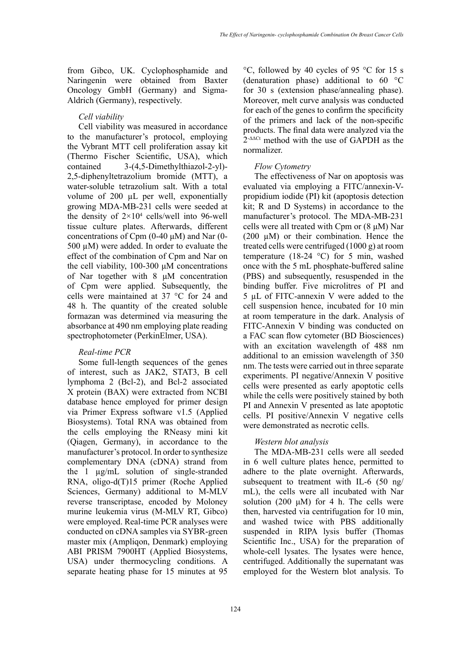from Gibco, UK. Cyclophosphamide and Naringenin were obtained from Baxter Oncology GmbH (Germany) and Sigma-Aldrich (Germany), respectively.

## *Cell viability*

Cell viability was measured in accordance to the manufacturer's protocol, employing the Vybrant MTT cell proliferation assay kit (Thermo Fischer Scientific, USA), which contained 3-(4,5-Dimethylthiazol-2-yl)- 2,5-diphenyltetrazolium bromide (MTT), a water-soluble tetrazolium salt. With a total volume of 200 µL per well, exponentially growing MDA-MB-231 cells were seeded at the density of  $2 \times 10^4$  cells/well into 96-well tissue culture plates. Afterwards, different concentrations of Cpm (0-40 μM) and Nar (0- 500 µM) were added. In order to evaluate the effect of the combination of Cpm and Nar on the cell viability, 100-300 μM concentrations of Nar together with 8 μM concentration of Cpm were applied. Subsequently, the cells were maintained at 37 °C for 24 and 48 h. The quantity of the created soluble formazan was determined via measuring the absorbance at 490 nm employing plate reading spectrophotometer (PerkinElmer, USA).

## *Real-time PCR*

Some full-length sequences of the genes of interest, such as JAK2, STAT3, B cell lymphoma 2 (Bcl-2), and Bcl-2 associated X protein (BAX) were extracted from NCBI database hence employed for primer design via Primer Express software v1.5 (Applied Biosystems). Total RNA was obtained from the cells employing the RNeasy mini kit (Qiagen, Germany), in accordance to the manufacturer's protocol. In order to synthesize complementary DNA (cDNA) strand from the 1 µg/mL solution of single-stranded RNA, oligo-d(T)15 primer (Roche Applied Sciences, Germany) additional to M-MLV reverse transcriptase, encoded by Moloney murine leukemia virus (M-MLV RT, Gibco) were employed. Real-time PCR analyses were conducted on cDNA samples via SYBR-green master mix (Ampliqon, Denmark) employing ABI PRISM 7900HT (Applied Biosystems, USA) under thermocycling conditions. A separate heating phase for 15 minutes at 95

°C, followed by 40 cycles of 95 °C for 15 s (denaturation phase) additional to 60 °C for 30 s (extension phase/annealing phase). Moreover, melt curve analysis was conducted for each of the genes to confirm the specificity of the primers and lack of the non-specific products. The final data were analyzed via the  $2$ <sup>- $\Delta$  $\Delta$ C<sup>t</sup> method with the use of GAPDH as the</sup> normalizer.

#### *Flow Cytometry*

The effectiveness of Nar on apoptosis was evaluated via employing a FITC/annexin-Vpropidium iodide (PI) kit (apoptosis detection kit; R and D Systems) in accordance to the manufacturer's protocol. The MDA-MB-231 cells were all treated with Cpm or  $(8 \mu M)$  Nar  $(200 \mu M)$  or their combination. Hence the treated cells were centrifuged (1000 g) at room temperature (18-24 °C) for 5 min, washed once with the 5 mL phosphate-buffered saline (PBS) and subsequently, resuspended in the binding buffer. Five microlitres of PI and 5 µL of FITC-annexin V were added to the cell suspension hence, incubated for 10 min at room temperature in the dark. Analysis of FITC-Annexin V binding was conducted on a FAC scan flow cytometer (BD Biosciences) with an excitation wavelength of 488 nm additional to an emission wavelength of 350 nm. The tests were carried out in three separate experiments. PI negative/Annexin V positive cells were presented as early apoptotic cells while the cells were positively stained by both PI and Annexin V presented as late apoptotic cells. PI positive/Annexin V negative cells were demonstrated as necrotic cells.

## *Western blot analysis*

The MDA-MB-231 cells were all seeded in 6 well culture plates hence, permitted to adhere to the plate overnight. Afterwards, subsequent to treatment with IL-6  $(50 \text{ ng})$ mL), the cells were all incubated with Nar solution (200  $\mu$ M) for 4 h. The cells were then, harvested via centrifugation for 10 min, and washed twice with PBS additionally suspended in RIPA lysis buffer (Thomas Scientific Inc., USA) for the preparation of whole-cell lysates. The lysates were hence, centrifuged. Additionally the supernatant was employed for the Western blot analysis. To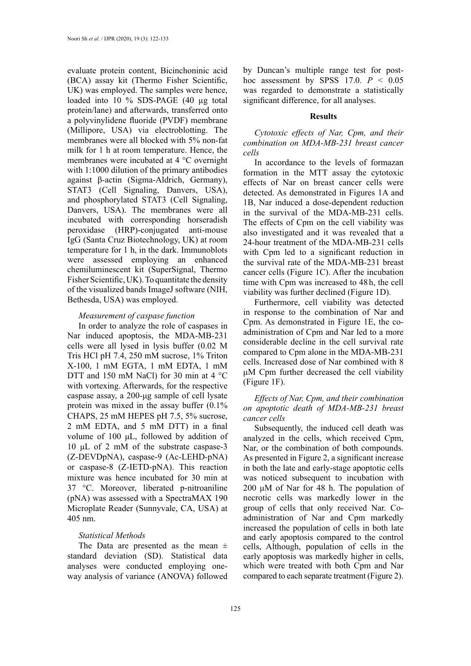evaluate protein content, Bicinchoninic acid (BCA) assay kit (Thermo Fisher Scientific, UK) was employed. The samples were hence, loaded into 10 % SDS-PAGE (40 µg total protein/lane) and afterwards, transferred onto a polyvinylidene fluoride (PVDF) membrane (Millipore, USA) via electroblotting. The membranes were all blocked with 5% non-fat milk for 1 h at room temperature. Hence, the membranes were incubated at 4 °C overnight with 1:1000 dilution of the primary antibodies against β-actin (Sigma-Aldrich, Germany), STAT3 (Cell Signaling, Danvers, USA), and phosphorylated STAT3 (Cell Signaling, Danvers, USA). The membranes were all incubated with corresponding horseradish peroxidase (HRP)-conjugated anti-mouse IgG (Santa Cruz Biotechnology, UK) at room temperature for 1 h, in the dark. Immunoblots were assessed employing an enhanced chemiluminescent kit (SuperSignal, Thermo Fisher Scientific, UK). To quantitate the density of the visualized bands ImageJ software (NIH, Bethesda, USA) was employed.

## *Measurement of caspase function*

In order to analyze the role of caspases in Nar induced apoptosis, the MDA-MB-231 cells were all lysed in lysis buffer (0.02 M Tris HCl pH 7.4, 250 mM sucrose, 1% Triton X-100, 1 mM EGTA, 1 mM EDTA, 1 mM DTT and 150 mM NaCl) for 30 min at 4 °C with vortexing. Afterwards, for the respective caspase assay, a 200-μg sample of cell lysate protein was mixed in the assay buffer (0.1% CHAPS, 25 mM HEPES pH 7.5, 5% sucrose, 2 mM EDTA, and 5 mM DTT) in a final volume of 100 μL, followed by addition of 10 μL of 2 mM of the substrate caspase-3 (Z-DEVDpNA), caspase-9 (Ac-LEHD-pNA) or caspase-8 (Z-IETD-pNA). This reaction mixture was hence incubated for 30 min at 37 °C. Moreover, liberated p-nitroaniline (pNA) was assessed with a SpectraMAX 190 Microplate Reader (Sunnyvale, CA, USA) at 405 nm.

## *Statistical Methods*

The Data are presented as the mean  $\pm$ standard deviation (SD). Statistical data analyses were conducted employing oneway analysis of variance (ANOVA) followed by Duncan's multiple range test for posthoc assessment by SPSS  $17.0$ .  $P < 0.05$ was regarded to demonstrate a statistically significant difference, for all analyses.

## **Results**

*Cytotoxic effects of Nar, Cpm, and their combination on MDA-MB-231 breast cancer cells*

In accordance to the levels of formazan formation in the MTT assay the cytotoxic effects of Nar on breast cancer cells were detected. As demonstrated in Figures 1A and 1B, Nar induced a dose-dependent reduction in the survival of the MDA-MB-231 cells. The effects of Cpm on the cell viability was also investigated and it was revealed that a 24-hour treatment of the MDA-MB-231 cells with Cpm led to a significant reduction in the survival rate of the MDA-MB-231 breast cancer cells (Figure 1C). After the incubation time with Cpm was increased to 48h, the cell viability was further declined (Figure 1D).

Furthermore, cell viability was detected in response to the combination of Nar and Cpm. As demonstrated in Figure 1E, the coadministration of Cpm and Nar led to a more considerable decline in the cell survival rate compared to Cpm alone in the MDA-MB-231 cells. Increased dose of Nar combined with 8 μM Cpm further decreased the cell viability (Figure 1F).

*Effects of Nar, Cpm, and their combination on apoptotic death of MDA-MB-231 breast cancer cells*

Subsequently, the induced cell death was analyzed in the cells, which received Cpm, Nar, or the combination of both compounds. As presented in Figure 2, a significant increase in both the late and early-stage apoptotic cells was noticed subsequent to incubation with 200 μM of Nar for 48 h. The population of necrotic cells was markedly lower in the group of cells that only received Nar. Coadministration of Nar and Cpm markedly increased the population of cells in both late and early apoptosis compared to the control cells, Although, population of cells in the early apoptosis was markedly higher in cells, which were treated with both Cpm and Nar compared to each separate treatment (Figure 2).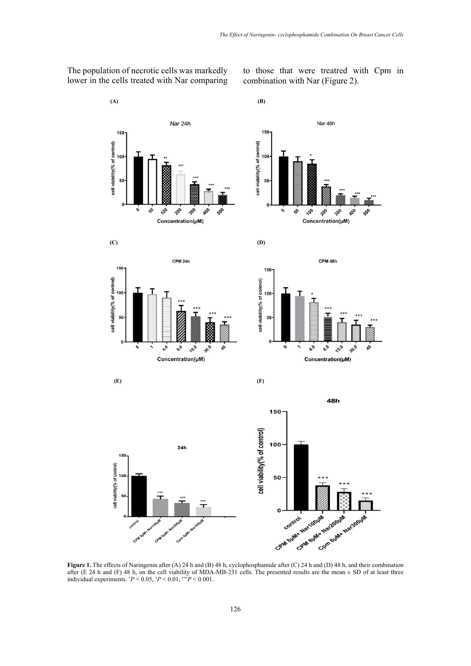

The population of necrotic cells was markedly lower in the cells treated with Nar comparing to those that were treatred with Cpm in combination with Nar (Figure 2).

**Figure 1.** The effects of Naringenin after (A) 24 h and (B) 48 h, cyclophosphamide after (C) 24 h and (D) 48 h, and their combination after (E 24 h and (F) 48 h, on the cell viability of MDA-MB-231 cells. The presented results are the mean  $\pm$  SD of at least three individual experiments.  $^{*}P$  < 0.05,  $^{*}P$  < 0.01,  $^{**}P$  < 0.001.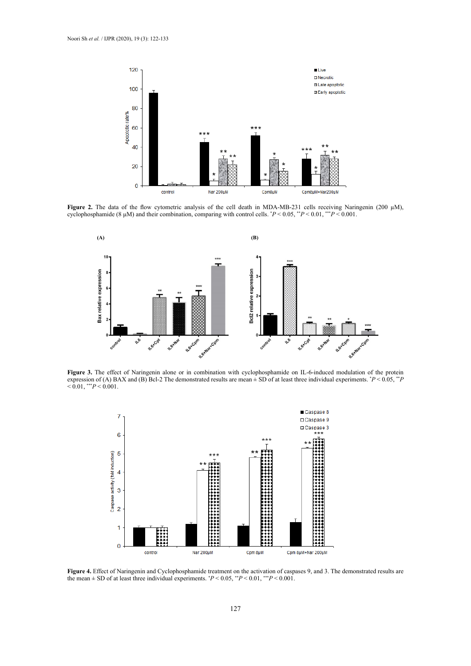

**Figure 2.** The data of the flow cytometric analysis of the cell death in MDA-MB-231 cells receiving Naringenin (200  $\mu$ M), cyclophosphamide (8 μM) and their combination, comparing with control cells. \* *P* < 0.05, \*\**P* < 0.01, \*\*\**P* < 0.001.



**Figure 3.** The effect of Naringenin alone or in combination with cyclophosphamide on IL-6-induced modulation of the protein expression of (A) BAX and (B) Bcl-2 The demonstrated results are mean  $\pm$  SD of at least three individual experiments.  $P < 0.05$ ,  $P$  $< 0.01,$  \*\*\* $P < 0.001$ .



ef of Naringenin and Cyclophosphamide treatment on the activation of caspases 9, and 3. The demonstrated results are the mean  $\epsilon$ **Figure 4.** Effect of Naringenin and Cyclophosphamide treatment on the activation of caspases 9, and 3. The demonstrated results are the mean  $+$  SD of at least three individual experiments  $*P < 0.05$   $*$   $P < 0.01$   $*$   $*$ the mean  $\pm$  SD of at least three individual experiments.  $P < 0.05$ ,  $P < 0.01$ ,  $P < 0.001$ .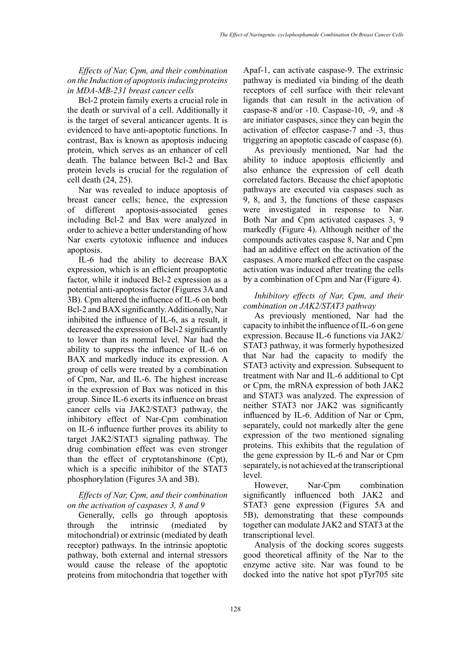*Effects of Nar, Cpm, and their combination on the Induction of apoptosis inducing proteins in MDA-MB-231 breast cancer cells*

Bcl-2 protein family exerts a crucial role in the death or survival of a cell. Additionally it is the target of several anticancer agents. It is evidenced to have anti-apoptotic functions. In contrast, Bax is known as apoptosis inducing protein, which serves as an enhancer of cell death. The balance between Bcl-2 and Bax protein levels is crucial for the regulation of cell death (24, 25).

Nar was revealed to induce apoptosis of breast cancer cells; hence, the expression of different apoptosis-associated genes including Bcl-2 and Bax were analyzed in order to achieve a better understanding of how Nar exerts cytotoxic influence and induces apoptosis.

IL-6 had the ability to decrease BAX expression, which is an efficient proapoptotic factor, while it induced Bcl-2 expression as a potential anti-apoptosis factor (Figures 3A and 3B). Cpm altered the influence of IL-6 on both Bcl-2 and BAX significantly. Additionally, Nar inhibited the influence of IL-6, as a result, it decreased the expression of Bcl-2 significantly to lower than its normal level. Nar had the ability to suppress the influence of IL-6 on BAX and markedly induce its expression. A group of cells were treated by a combination of Cpm, Nar, and IL-6. The highest increase in the expression of Bax was noticed in this group. Since IL-6 exerts its influence on breast cancer cells via JAK2/STAT3 pathway, the inhibitory effect of Nar-Cpm combination on IL-6 influence further proves its ability to target JAK2/STAT3 signaling pathway. The drug combination effect was even stronger than the effect of cryptotanshinone (Cpt), which is a specific inihibitor of the STAT3 phosphorylation (Figures 3A and 3B).

# *Effects of Nar, Cpm, and their combination on the activation of caspases 3, 8 and 9*

Generally, cells go through apoptosis through the intrinsic (mediated by mitochondrial) or extrinsic (mediated by death receptor) pathways. In the intrinsic apoptotic pathway, both external and internal stressors would cause the release of the apoptotic proteins from mitochondria that together with

Apaf-1, can activate caspase-9. The extrinsic pathway is mediated via binding of the death receptors of cell surface with their relevant ligands that can result in the activation of caspase-8 and/or -10. Caspase-10, -9, and -8 are initiator caspases, since they can begin the activation of effector caspase-7 and -3, thus triggering an apoptotic cascade of caspase (6).

As previously mentioned, Nar had the ability to induce apoptosis efficiently and also enhance the expression of cell death correlated factors. Because the chief apoptotic pathways are executed via caspases such as 9, 8, and 3, the functions of these caspases were investigated in response to Nar. Both Nar and Cpm activated caspases 3, 9 markedly (Figure 4). Although neither of the compounds activates caspase 8, Nar and Cpm had an additive effect on the activation of the caspases. A more marked effect on the caspase activation was induced after treating the cells by a combination of Cpm and Nar (Figure 4).

# *Inhibitory effects of Nar, Cpm, and their combination on JAK2/STAT3 pathway*

As previously mentioned, Nar had the capacity to inhibit the influence of IL-6 on gene expression. Because IL-6 functions via JAK2/ STAT3 pathway, it was formerly hypothesized that Nar had the capacity to modify the STAT3 activity and expression. Subsequent to treatment with Nar and IL-6 additional to Cpt or Cpm, the mRNA expression of both JAK2 and STAT3 was analyzed. The expression of neither STAT3 nor JAK2 was significantly influenced by IL-6. Addition of Nar or Cpm, separately, could not markedly alter the gene expression of the two mentioned signaling proteins. This exhibits that the regulation of the gene expression by IL-6 and Nar or Cpm separately, is not achieved at the transcriptional level.

However, Nar-Cpm combination significantly influenced both JAK2 and STAT3 gene expression (Figures 5A and 5B), demonstrating that these compounds together can modulate JAK2 and STAT3 at the transcriptional level.

Analysis of the docking scores suggests good theoretical affinity of the Nar to the enzyme active site. Nar was found to be docked into the native hot spot pTyr705 site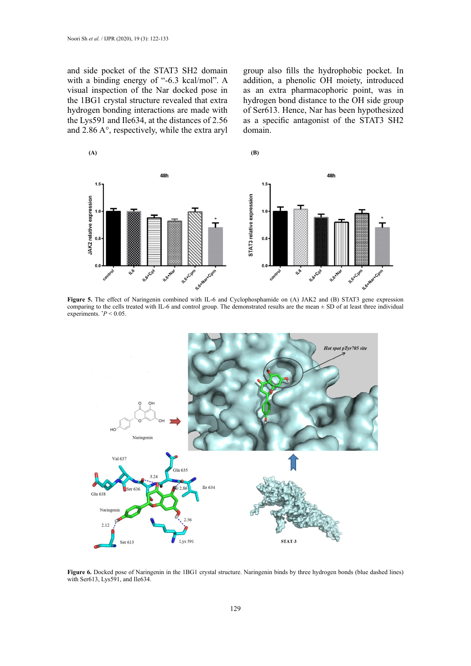and side pocket of the STAT3 SH2 domain with a binding energy of "-6.3 kcal/mol". A visual inspection of the Nar docked pose in the 1BG1 crystal structure revealed that extra hydrogen bonding interactions are made with the Lys591 and Ile634, at the distances of 2.56 and 2.86 A°, respectively, while the extra aryl group also fills the hydrophobic pocket. In addition, a phenolic OH moiety, introduced as an extra pharmacophoric point, was in hydrogen bond distance to the OH side group of Ser613. Hence, Nar has been hypothesized as a specific antagonist of the STAT3 SH2 domain.



 **Figure 5.** The effect of Naringenin combined with IL-6 and Cyclophosphamide on (A) JAK2 and (B) STAT3 gene expression comparing to the cells treated with IL-6 and control group. The demonstrated results are the mean  $\pm$  SD of at least three individual experiments.  $P < 0.05$ .



Figure 6. Docked pose of Naringenin in the 1BG1 crystal structure. Naringenin binds by three hydrogen bonds (blue dashed lines) with Ser613, Lys591, and Ile634.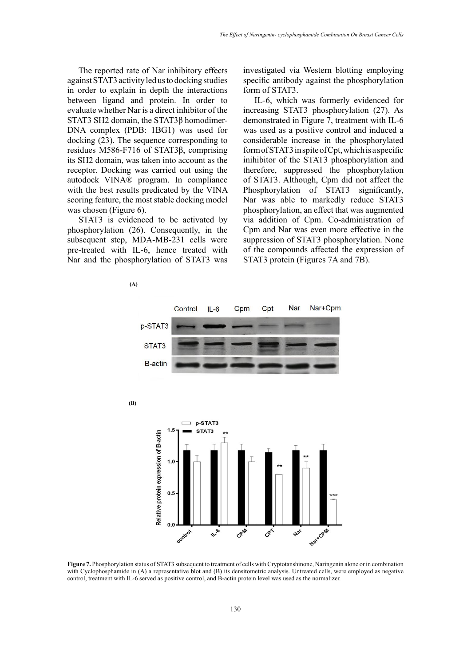The reported rate of Nar inhibitory effects against STAT3 activity led us to docking studies in order to explain in depth the interactions between ligand and protein. In order to evaluate whether Nar is a direct inhibitor of the STAT3 SH2 domain, the STAT3β homodimer-DNA complex (PDB: 1BG1) was used for docking (23). The sequence corresponding to residues M586-F716 of STAT3β, comprising its SH2 domain, was taken into account as the receptor. Docking was carried out using the autodock VINA® program. In compliance with the best results predicated by the VINA scoring feature, the most stable docking model was chosen (Figure 6).

STAT3 is evidenced to be activated by phosphorylation (26). Consequently, in the [subsequent step,](https://www.powerthesaurus.org/subsequent_step/synonyms) MDA-MB-231 cells were pre-treated with IL-6, hence treated with Nar and the phosphorylation of STAT3 was

 **(A)**

investigated via Western blotting employing specific antibody against the phosphorylation form of STAT3.

IL-6, which was formerly evidenced for increasing STAT3 phosphorylation (27). As demonstrated in Figure 7, treatment with IL-6 was used as a positive control and induced a considerable increase in the phosphorylated form of STAT3 [in](https://www.powerthesaurus.org/whereas/synonyms) spite of Cpt, which is a specific inihibitor of the STAT3 phosphorylation and therefore, suppressed the phosphorylation of STAT3. Although, Cpm did not affect the Phosphorylation of STAT3 significantly, Nar was able to markedly reduce STAT3 phosphorylation, an effect that was augmented via addition of Cpm. Co-administration of Cpm and Nar was even more effective in the suppression of STAT3 phosphorylation. None of the compounds affected the expression of STAT3 protein (Figures 7A and 7B).



 **(B)**



Figure 7. Phosphorylation status of STAT3 subsequent to treatment of cells with Cryptotanshinone, Naringenin alone or in combination with Cyclophosphamide in  $(A)$  a representative blot and  $(B)$  its densitometric analysis. Untreated cells, were employed as negative  $\frac{1}{2}$ control, treatment with IL-6 served as positive control, and B-actin protein level was used as the normalizer.

with IL-6 served as positive control, and  $B-$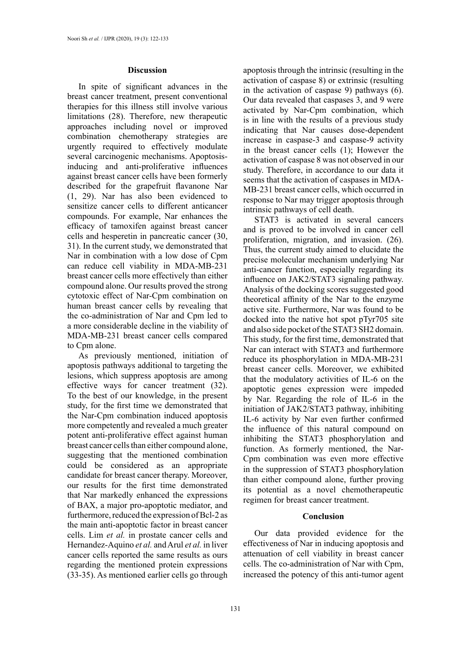## **Discussion**

In spite of significant advances in the breast cancer treatment, present conventional therapies for this illness still involve various limitations (28). Therefore, new therapeutic approaches including novel or improved combination chemotherapy strategies are urgently required to effectively modulate several carcinogenic mechanisms. Apoptosisinducing and anti-proliferative influences against breast cancer cells have been formerly described for the [grapefruit](https://www.sciencedirect.com/topics/biochemistry-genetics-and-molecular-biology/grapefruit) flavanone [Nar](https://www.sciencedirect.com/topics/biochemistry-genetics-and-molecular-biology/naringenin) (1, 29). Nar has also been evidenced to sensitize cancer cells to different anticancer compounds. For example, Nar enhances the efficacy of tamoxifen against breast cancer cells and hesperetin in pancreatic cancer (30, 31). In the current study, we demonstrated that [Nar](https://www.sciencedirect.com/topics/biochemistry-genetics-and-molecular-biology/naringenin) in combination with a low dose of Cpm can reduce cell viability in MDA-MB-231 breast cancer cells more effectively than either compound alone. Our results proved the strong cytotoxic effect of Nar-Cpm combination on human breast cancer cells by revealing that the co-administration of Nar and Cpm led to a more considerable decline in the viability of MDA-MB-231 breast cancer cells compared to Cpm alone.

As previously mentioned, initiation of apoptosis pathways additional to targeting the lesions, which suppress apoptosis are among effective ways for cancer treatment (32). To the best of our knowledge, in the present study, for the first time we demonstrated that the Nar-Cpm combination induced apoptosis more competently and revealed a much greater potent anti-proliferative effect against human breast cancer cells than either compound alone, suggesting that the mentioned combination could be considered as an appropriate candidate for breast cancer therapy. Moreover, our results for the first time demonstrated that Nar markedly enhanced the expressions of BAX, a major pro-apoptotic mediator, and furthermore, reduced the expression of Bcl-2 as the main anti-apoptotic factor in breast cancer cells. Lim *et al.* in prostate cancer cells and Hernandez-Aquino *et al.* and Arul *et al.* in liver cancer cells reported the same results as ours regarding the mentioned protein expressions (33-35). As mentioned earlier cells go through

apoptosis through the intrinsic (resulting in the activation of caspase 8) or extrinsic (resulting in the activation of caspase 9) pathways (6). Our data revealed that caspases 3, and 9 were activated by Nar-Cpm combination, which is in line with the results of a previous study indicating that Nar causes dose-dependent increase in caspase-3 and caspase-9 activity in the breast cancer cells (1); However the activation of caspase 8 was not observed in our study. Therefore, in accordance to our data it seems that the activation of caspases in MDA-MB-231 breast cancer cells, which occurred in response to Nar may trigger apoptosis through intrinsic pathways of cell death.

STAT3 is activated in several cancers and is proved to be involved in cancer cell proliferation, migration, and invasion. (26). Thus, the current study aimed to elucidate the precise molecular mechanism underlying Nar anti-cancer function, especially regarding its influence on JAK2/STAT3 signaling pathway. Analysis of the docking scores suggested good theoretical affinity of the Nar to the enzyme active site. Furthermore, Nar was found to be docked into the native hot spot pTyr705 site and also side pocket of the STAT3 SH2 domain. This study, for the first time, demonstrated that Nar can interact with STAT3 and furthermore reduce its phosphorylation in MDA-MB-231 breast cancer cells. Moreover, we exhibited that the modulatory activities of IL-6 on the apoptotic genes expression were impeded by Nar. Regarding the role of IL-6 in the initiation of JAK2/STAT3 pathway, inhibiting IL-6 activity by Nar even further confirmed the influence of this natural compound on inhibiting the STAT3 phosphorylation and function. As formerly mentioned, the Nar-Cpm combination was even more effective in the suppression of STAT3 phosphorylation than either compound alone, further proving its potential as a novel chemotherapeutic regimen for breast cancer treatment.

#### **Conclusion**

Our data provided evidence for the effectiveness of Nar in inducing apoptosis and attenuation of cell viability in breast cancer cells. The co-administration of Nar with Cpm, increased the potency of this anti-tumor agent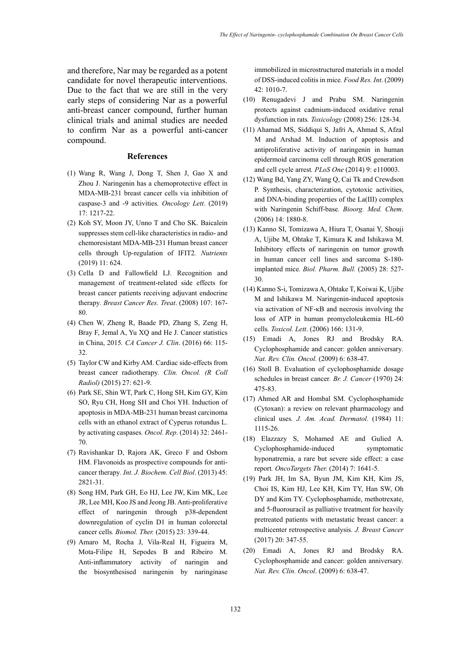and therefore, Nar may be regarded as a potent candidate for novel therapeutic interventions. Due to the fact that we are still in the very early steps of considering Nar as a powerful anti-breast cancer compound, further human clinical trials and animal studies are needed to confirm Nar as a powerful anti-cancer compound.

#### **References**

- (1) Wang R, Wang J, Dong T, Shen J, Gao X and Zhou J. Naringenin has a chemoprotective effect in MDA-MB-231 breast cancer cells via inhibition of caspase-3 and -9 activities*. Oncology Lett*. (2019) 17: 1217-22.
- (2) Koh SY, Moon JY, Unno T and Cho SK. Baicalein suppresses stem cell-like characteristics in radio- and chemoresistant MDA-MB-231 Human breast cancer cells through Up-regulation of IFIT2*. Nutrients* (2019) 11: 624.
- (3) Cella D and Fallowfield LJ. Recognition and management of treatment-related side effects for breast cancer patients receiving adjuvant endocrine therapy*. Breast Cancer Res. Treat*. (2008) 107: 167- 80.
- (4) Chen W, Zheng R, Baade PD, Zhang S, Zeng H, Bray F, Jemal A, Yu XQ and He J. Cancer statistics in China, 2015*. CA Cancer J. Clin*. (2016) 66: 115- 32.
- (5) Taylor CW and Kirby AM. Cardiac side-effects from breast cancer radiotherapy*. Clin. Oncol. (R Coll Radiol)* (2015) 27: 621-9.
- (6) Park SE, Shin WT, Park C, Hong SH, Kim GY, Kim SO, Ryu CH, Hong SH and Choi YH. Induction of apoptosis in MDA-MB-231 human breast carcinoma cells with an ethanol extract of Cyperus rotundus L. by activating caspases*. Oncol. Rep*. (2014) 32: 2461- 70.
- (7) Ravishankar D, Rajora AK, Greco F and Osborn HM. Flavonoids as prospective compounds for anticancer therapy*. Int. J. Biochem. Cell Biol*. (2013) 45: 2821-31.
- (8) Song HM, Park GH, Eo HJ, Lee JW, Kim MK, Lee JR, Lee MH, Koo JS and Jeong JB. Anti-proliferative effect of naringenin through p38-dependent downregulation of cyclin D1 in human colorectal cancer cells*. Biomol. Ther.* (2015) 23: 339-44.
- (9) Amaro M, Rocha J, Vila-Real H, Figueira M, Mota-Filipe H, Sepodes B and Ribeiro M. Anti-inflammatory activity of naringin and the biosynthesised naringenin by naringinase

immobilized in microstructured materials in a model of DSS-induced colitis in mice*. Food Res. Int*. (2009) 42: 1010-7.

- (10) Renugadevi J and Prabu SM. Naringenin protects against cadmium-induced oxidative renal dysfunction in rats*. Toxicology* (2008) 256: 128-34.
- (11) Ahamad MS, Siddiqui S, Jafri A, Ahmad S, Afzal M and Arshad M. Induction of apoptosis and antiproliferative activity of naringenin in human epidermoid carcinoma cell through ROS generation and cell cycle arrest*. PLoS One* (2014) 9: e110003.
- (12) Wang Bd, Yang ZY, Wang Q, Cai Tk and Crewdson P. Synthesis, characterization, cytotoxic activities, and DNA-binding properties of the La(III) complex with Naringenin Schiff-base*. Bioorg. Med. Chem*. (2006) 14: 1880-8.
- (13) Kanno SI, Tomizawa A, Hiura T, Osanai Y, Shouji A, Ujibe M, Ohtake T, Kimura K and Ishikawa M. Inhibitory effects of naringenin on tumor growth in human cancer cell lines and sarcoma S-180 implanted mice*. Biol. Pharm. Bull.* (2005) 28: 527- 30.
- (14) Kanno S-i, Tomizawa A, Ohtake T, Koiwai K, Ujibe M and Ishikawa M. Naringenin-induced apoptosis via activation of NF-κB and necrosis involving the loss of ATP in human promyeloleukemia HL-60 cells*. Toxicol. Lett*. (2006) 166: 131-9.
- (15) Emadi A, Jones RJ and Brodsky RA. Cyclophosphamide and cancer: golden anniversary*. Nat. Rev. Clin. Oncol.* (2009) 6: 638-47.
- (16) Stoll B. Evaluation of cyclophosphamide dosage schedules in breast cancer*. Br. J. Cancer* (1970) 24: 475-83.
- (17) Ahmed AR and Hombal SM. Cyclophosphamide (Cytoxan): a review on relevant pharmacology and clinical uses*. J. Am. Acad. Dermatol.* (1984) 11: 1115-26.
- (18) Elazzazy S, Mohamed AE and Gulied A. Cyclophosphamide-induced symptomatic hyponatremia, a rare but severe side effect: a case report*. OncoTargets Ther.* (2014) 7: 1641-5.
- (19) Park JH, Im SA, Byun JM, Kim KH, Kim JS, Choi IS, Kim HJ, Lee KH, Kim TY, Han SW, Oh DY and Kim TY. Cyclophosphamide, methotrexate, and 5-fluorouracil as palliative treatment for heavily pretreated patients with metastatic breast cancer: a multicenter retrospective analysis*. J. Breast Cancer* (2017) 20: 347-55.
- (20) Emadi A, Jones RJ and Brodsky RA. Cyclophosphamide and cancer: golden anniversary*. Nat. Rev. Clin. Oncol*. (2009) 6: 638-47.